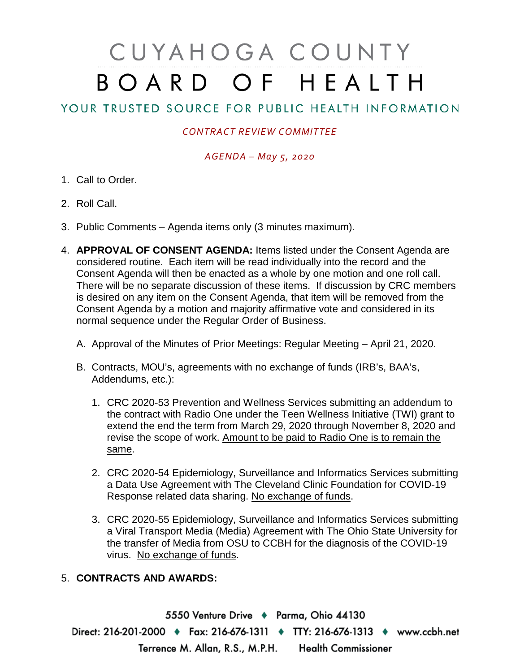# CUYAHOGA COUNTY BOARD OF HEALTH

# YOUR TRUSTED SOURCE FOR PUBLIC HEALTH INFORMATION

## *CONTRACT REVIEW COMMITTEE*

### *AGENDA – May 5, 2020*

- 1. Call to Order.
- 2. Roll Call.
- 3. Public Comments Agenda items only (3 minutes maximum).
- 4. **APPROVAL OF CONSENT AGENDA:** Items listed under the Consent Agenda are considered routine. Each item will be read individually into the record and the Consent Agenda will then be enacted as a whole by one motion and one roll call. There will be no separate discussion of these items. If discussion by CRC members is desired on any item on the Consent Agenda, that item will be removed from the Consent Agenda by a motion and majority affirmative vote and considered in its normal sequence under the Regular Order of Business.
	- A. Approval of the Minutes of Prior Meetings: Regular Meeting April 21, 2020.
	- B. Contracts, MOU's, agreements with no exchange of funds (IRB's, BAA's, Addendums, etc.):
		- 1. CRC 2020-53 Prevention and Wellness Services submitting an addendum to the contract with Radio One under the Teen Wellness Initiative (TWI) grant to extend the end the term from March 29, 2020 through November 8, 2020 and revise the scope of work. Amount to be paid to Radio One is to remain the same.
		- 2. CRC 2020-54 Epidemiology, Surveillance and Informatics Services submitting a Data Use Agreement with The Cleveland Clinic Foundation for COVID-19 Response related data sharing. No exchange of funds.
		- 3. CRC 2020-55 Epidemiology, Surveillance and Informatics Services submitting a Viral Transport Media (Media) Agreement with The Ohio State University for the transfer of Media from OSU to CCBH for the diagnosis of the COVID-19 virus. No exchange of funds.

#### 5. **CONTRACTS AND AWARDS:**

5550 Venture Drive + Parma, Ohio 44130 Direct: 216-201-2000 • Fax: 216-676-1311 • TTY: 216-676-1313 • www.ccbh.net Terrence M. Allan, R.S., M.P.H. Health Commissioner